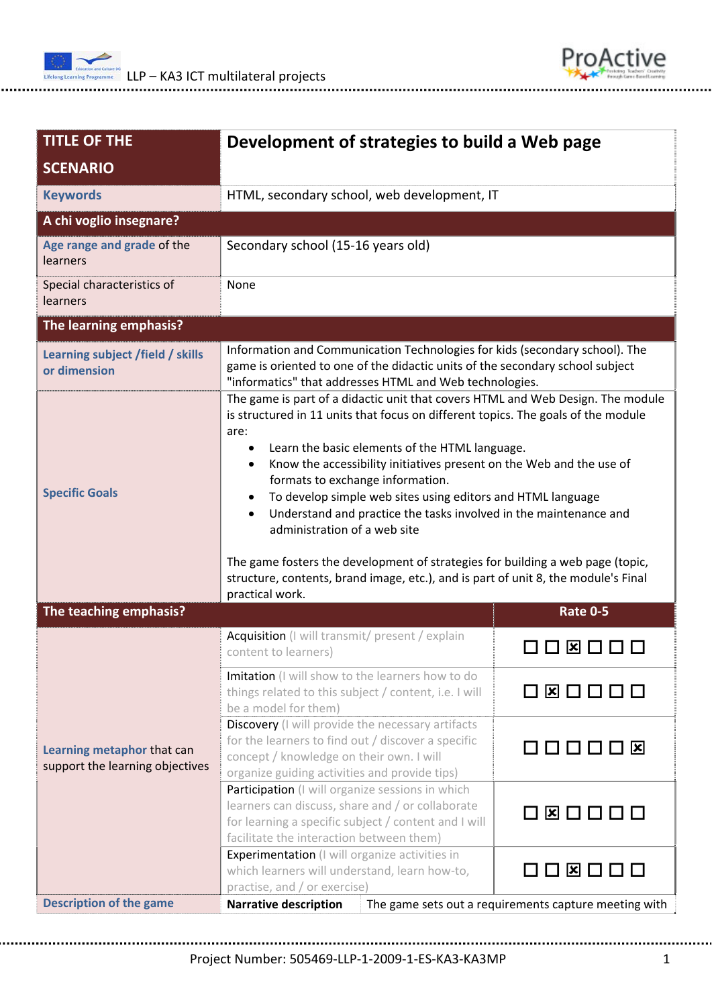



| <b>TITLE OF THE</b><br><b>SCENARIO</b>                        | Development of strategies to build a Web page                                                                                                                                                                                                                                                                                                                                                                                                                                                                                                                                                                                                                                                                                 |                                                       |  |
|---------------------------------------------------------------|-------------------------------------------------------------------------------------------------------------------------------------------------------------------------------------------------------------------------------------------------------------------------------------------------------------------------------------------------------------------------------------------------------------------------------------------------------------------------------------------------------------------------------------------------------------------------------------------------------------------------------------------------------------------------------------------------------------------------------|-------------------------------------------------------|--|
| <b>Keywords</b>                                               | HTML, secondary school, web development, IT                                                                                                                                                                                                                                                                                                                                                                                                                                                                                                                                                                                                                                                                                   |                                                       |  |
| A chi voglio insegnare?                                       |                                                                                                                                                                                                                                                                                                                                                                                                                                                                                                                                                                                                                                                                                                                               |                                                       |  |
| Age range and grade of the<br>learners                        | Secondary school (15-16 years old)                                                                                                                                                                                                                                                                                                                                                                                                                                                                                                                                                                                                                                                                                            |                                                       |  |
| Special characteristics of<br>learners                        | None                                                                                                                                                                                                                                                                                                                                                                                                                                                                                                                                                                                                                                                                                                                          |                                                       |  |
| The learning emphasis?                                        |                                                                                                                                                                                                                                                                                                                                                                                                                                                                                                                                                                                                                                                                                                                               |                                                       |  |
| Learning subject /field / skills<br>or dimension              | Information and Communication Technologies for kids (secondary school). The<br>game is oriented to one of the didactic units of the secondary school subject<br>"informatics" that addresses HTML and Web technologies.                                                                                                                                                                                                                                                                                                                                                                                                                                                                                                       |                                                       |  |
| <b>Specific Goals</b>                                         | The game is part of a didactic unit that covers HTML and Web Design. The module<br>is structured in 11 units that focus on different topics. The goals of the module<br>are:<br>Learn the basic elements of the HTML language.<br>$\bullet$<br>Know the accessibility initiatives present on the Web and the use of<br>$\bullet$<br>formats to exchange information.<br>To develop simple web sites using editors and HTML language<br>Understand and practice the tasks involved in the maintenance and<br>$\bullet$<br>administration of a web site<br>The game fosters the development of strategies for building a web page (topic,<br>structure, contents, brand image, etc.), and is part of unit 8, the module's Final |                                                       |  |
| The teaching emphasis?                                        | practical work.                                                                                                                                                                                                                                                                                                                                                                                                                                                                                                                                                                                                                                                                                                               | <b>Rate 0-5</b>                                       |  |
| Learning metaphor that can<br>support the learning objectives | Acquisition (I will transmit/ present / explain<br>content to learners)                                                                                                                                                                                                                                                                                                                                                                                                                                                                                                                                                                                                                                                       | □  □                                                  |  |
|                                                               | Imitation (I will show to the learners how to do<br>things related to this subject / content, i.e. I will<br>be a model for them)                                                                                                                                                                                                                                                                                                                                                                                                                                                                                                                                                                                             | 080000                                                |  |
|                                                               | Discovery (I will provide the necessary artifacts<br>for the learners to find out / discover a specific<br>concept / knowledge on their own. I will<br>organize guiding activities and provide tips)                                                                                                                                                                                                                                                                                                                                                                                                                                                                                                                          | 000000                                                |  |
|                                                               | Participation (I will organize sessions in which<br>learners can discuss, share and / or collaborate<br>for learning a specific subject / content and I will<br>facilitate the interaction between them)                                                                                                                                                                                                                                                                                                                                                                                                                                                                                                                      | 080000                                                |  |
|                                                               | <b>Experimentation</b> (I will organize activities in<br>which learners will understand, learn how-to,<br>practise, and / or exercise)                                                                                                                                                                                                                                                                                                                                                                                                                                                                                                                                                                                        | O O Ø O O O                                           |  |
| <b>Description of the game</b>                                | <b>Narrative description</b>                                                                                                                                                                                                                                                                                                                                                                                                                                                                                                                                                                                                                                                                                                  | The game sets out a requirements capture meeting with |  |

Project Number: 505469‐LLP‐1‐2009‐1‐ES‐KA3‐KA3MP 1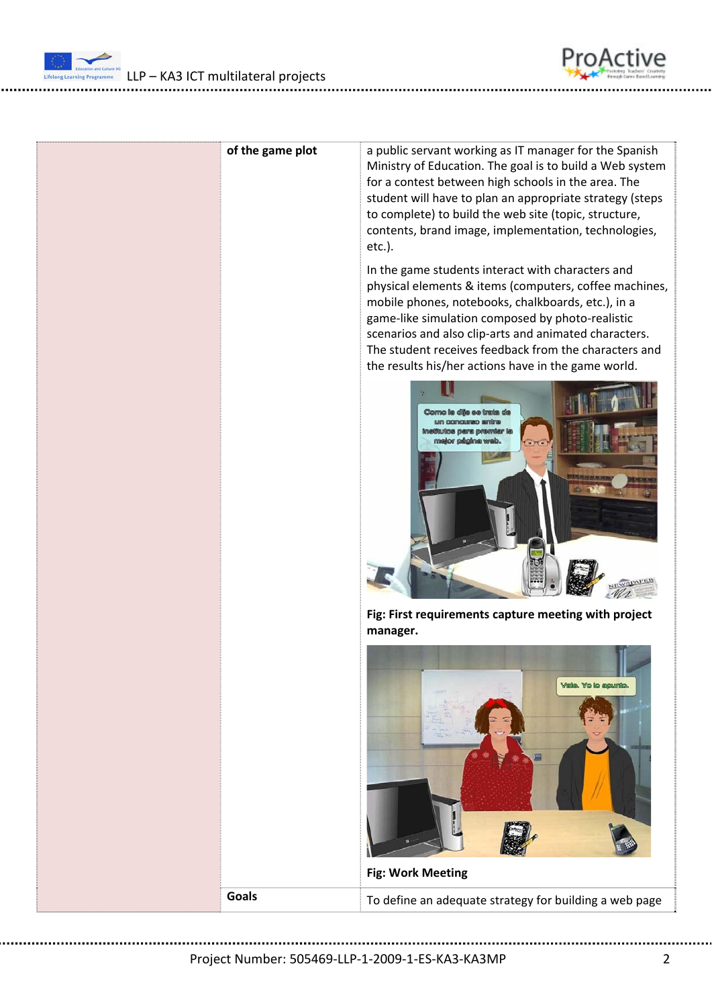



| of the game plot | a public servant working as IT manager for the Spanish<br>Ministry of Education. The goal is to build a Web system<br>for a contest between high schools in the area. The<br>student will have to plan an appropriate strategy (steps<br>to complete) to build the web site (topic, structure,<br>contents, brand image, implementation, technologies,<br>etc.).<br>In the game students interact with characters and<br>physical elements & items (computers, coffee machines,<br>mobile phones, notebooks, chalkboards, etc.), in a<br>game-like simulation composed by photo-realistic<br>scenarios and also clip-arts and animated characters.<br>The student receives feedback from the characters and<br>the results his/her actions have in the game world.<br>inetitutos para premiar la<br>tor pågina wab.<br>Fig: First requirements capture meeting with project<br>manager.<br>Vala. Yo to apunto. |
|------------------|----------------------------------------------------------------------------------------------------------------------------------------------------------------------------------------------------------------------------------------------------------------------------------------------------------------------------------------------------------------------------------------------------------------------------------------------------------------------------------------------------------------------------------------------------------------------------------------------------------------------------------------------------------------------------------------------------------------------------------------------------------------------------------------------------------------------------------------------------------------------------------------------------------------|
| <b>Goals</b>     | <b>Fig: Work Meeting</b><br>To define an adequate strategy for building a web page                                                                                                                                                                                                                                                                                                                                                                                                                                                                                                                                                                                                                                                                                                                                                                                                                             |
|                  |                                                                                                                                                                                                                                                                                                                                                                                                                                                                                                                                                                                                                                                                                                                                                                                                                                                                                                                |

Project Number: 505469‐LLP‐1‐2009‐1‐ES‐KA3‐KA3MP 2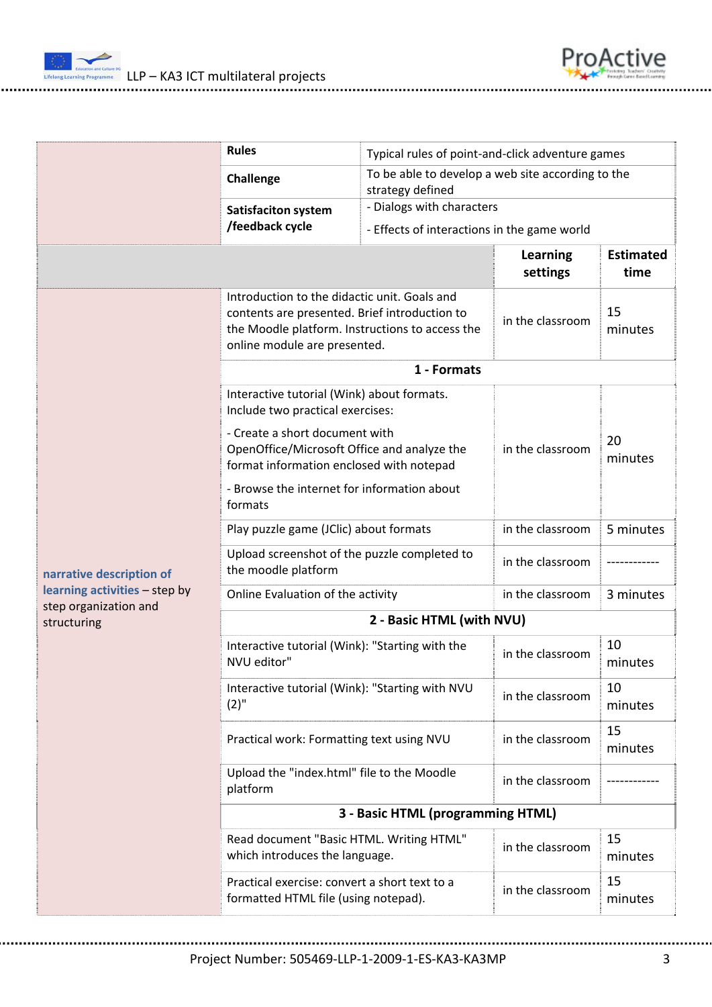



|                                                        | <b>Rules</b>                                                                                                                                                                     | Typical rules of point-and-click adventure games                      |                             |                          |
|--------------------------------------------------------|----------------------------------------------------------------------------------------------------------------------------------------------------------------------------------|-----------------------------------------------------------------------|-----------------------------|--------------------------|
|                                                        | Challenge                                                                                                                                                                        | To be able to develop a web site according to the<br>strategy defined |                             |                          |
|                                                        | Satisfaciton system                                                                                                                                                              | - Dialogs with characters                                             |                             |                          |
|                                                        | /feedback cycle                                                                                                                                                                  | - Effects of interactions in the game world                           |                             |                          |
|                                                        |                                                                                                                                                                                  |                                                                       | <b>Learning</b><br>settings | <b>Estimated</b><br>time |
|                                                        | Introduction to the didactic unit. Goals and<br>contents are presented. Brief introduction to<br>the Moodle platform. Instructions to access the<br>online module are presented. |                                                                       | in the classroom            | 15<br>minutes            |
|                                                        | 1 - Formats                                                                                                                                                                      |                                                                       |                             |                          |
|                                                        | Interactive tutorial (Wink) about formats.<br>Include two practical exercises:                                                                                                   |                                                                       |                             |                          |
|                                                        | - Create a short document with<br>OpenOffice/Microsoft Office and analyze the<br>format information enclosed with notepad                                                        |                                                                       | in the classroom            | 20<br>minutes            |
|                                                        | - Browse the internet for information about<br>formats                                                                                                                           |                                                                       |                             |                          |
|                                                        | Play puzzle game (JClic) about formats                                                                                                                                           |                                                                       | in the classroom            | 5 minutes                |
| narrative description of                               | Upload screenshot of the puzzle completed to<br>the moodle platform                                                                                                              |                                                                       | in the classroom            |                          |
| learning activities - step by<br>step organization and | Online Evaluation of the activity                                                                                                                                                |                                                                       | in the classroom            | 3 minutes                |
| structuring                                            | 2 - Basic HTML (with NVU)                                                                                                                                                        |                                                                       |                             |                          |
|                                                        | Interactive tutorial (Wink): "Starting with the<br>NVU editor"                                                                                                                   |                                                                       | in the classroom            | 10<br>minutes            |
|                                                        | Interactive tutorial (Wink): "Starting with NVU<br>$(2)$ "                                                                                                                       |                                                                       | in the classroom            | 10<br>minutes            |
|                                                        | Practical work: Formatting text using NVU                                                                                                                                        |                                                                       | in the classroom            | 15<br>minutes            |
|                                                        | Upload the "index.html" file to the Moodle<br>platform                                                                                                                           |                                                                       | in the classroom            |                          |
|                                                        | 3 - Basic HTML (programming HTML)                                                                                                                                                |                                                                       |                             |                          |
|                                                        | Read document "Basic HTML. Writing HTML"<br>which introduces the language.                                                                                                       |                                                                       | in the classroom            | 15<br>minutes            |
|                                                        | Practical exercise: convert a short text to a<br>formatted HTML file (using notepad).                                                                                            |                                                                       | in the classroom            | 15<br>minutes            |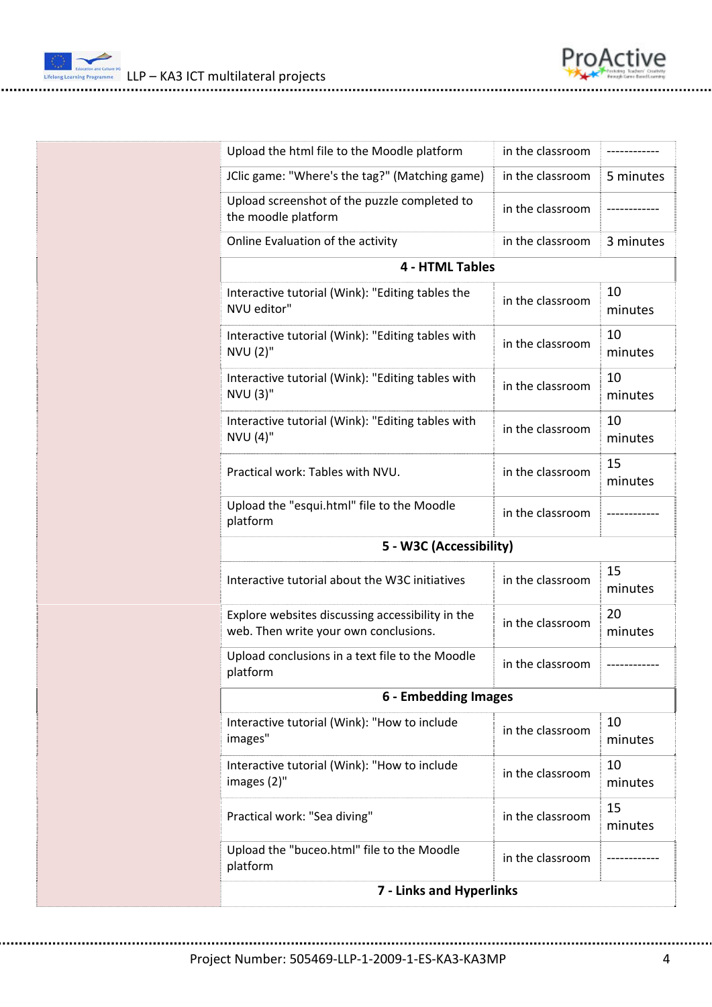

 $\frac{m_{\text{re}}}{m_{\text{e}}}$  LLP – KA3 ICT multilateral projects

| Upload the html file to the Moodle platform                                               | in the classroom       |               |  |  |
|-------------------------------------------------------------------------------------------|------------------------|---------------|--|--|
| JClic game: "Where's the tag?" (Matching game)                                            | in the classroom       | 5 minutes     |  |  |
| Upload screenshot of the puzzle completed to<br>the moodle platform                       | in the classroom       |               |  |  |
| Online Evaluation of the activity                                                         | in the classroom       | 3 minutes     |  |  |
|                                                                                           | <b>4 - HTML Tables</b> |               |  |  |
| Interactive tutorial (Wink): "Editing tables the<br>NVU editor"                           | in the classroom       | 10<br>minutes |  |  |
| Interactive tutorial (Wink): "Editing tables with<br>NVU (2)"                             | in the classroom       | 10<br>minutes |  |  |
| Interactive tutorial (Wink): "Editing tables with<br>NVU (3)"                             | in the classroom       | 10<br>minutes |  |  |
| Interactive tutorial (Wink): "Editing tables with<br>NVU (4)"                             | in the classroom       | 10<br>minutes |  |  |
| Practical work: Tables with NVU.                                                          | in the classroom       | 15<br>minutes |  |  |
| Upload the "esqui.html" file to the Moodle<br>platform                                    | in the classroom       |               |  |  |
| 5 - W3C (Accessibility)                                                                   |                        |               |  |  |
| Interactive tutorial about the W3C initiatives                                            | in the classroom       | 15<br>minutes |  |  |
| Explore websites discussing accessibility in the<br>web. Then write your own conclusions. | in the classroom       | 20<br>minutes |  |  |
| Upload conclusions in a text file to the Moodle<br>platform                               | in the classroom       | -----------   |  |  |
| 6 - Embedding Images                                                                      |                        |               |  |  |
| Interactive tutorial (Wink): "How to include<br>images"                                   | in the classroom       | 10<br>minutes |  |  |
| Interactive tutorial (Wink): "How to include<br>images (2)"                               | in the classroom       | 10<br>minutes |  |  |
| Practical work: "Sea diving"                                                              | in the classroom       | 15<br>minutes |  |  |
| Upload the "buceo.html" file to the Moodle<br>platform                                    | in the classroom       |               |  |  |
| 7 - Links and Hyperlinks                                                                  |                        |               |  |  |

Project Number: 505469‐LLP‐1‐2009‐1‐ES‐KA3‐KA3MP 4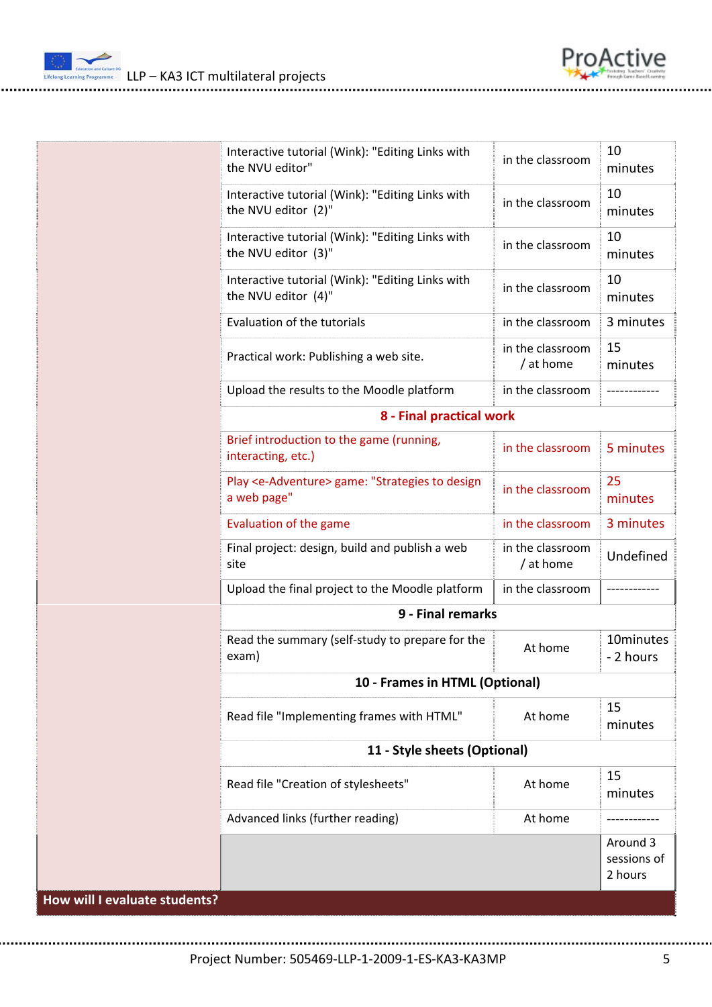

 $\frac{m_{\text{re}}}{m_{\text{re}}}}$  LLP – KA3 ICT multilateral projects

|                      | Interactive tutorial (Wink): "Editing Links with<br>the NVU editor"          | in the classroom              | 10<br>minutes                      |  |
|----------------------|------------------------------------------------------------------------------|-------------------------------|------------------------------------|--|
|                      | Interactive tutorial (Wink): "Editing Links with<br>the NVU editor (2)"      | in the classroom              | 10<br>minutes                      |  |
|                      | Interactive tutorial (Wink): "Editing Links with<br>the NVU editor (3)"      | in the classroom              | 10<br>minutes                      |  |
|                      | Interactive tutorial (Wink): "Editing Links with<br>the NVU editor (4)"      | in the classroom              | 10<br>minutes                      |  |
|                      | Evaluation of the tutorials                                                  | in the classroom              | 3 minutes                          |  |
|                      | Practical work: Publishing a web site.                                       | in the classroom<br>/ at home | 15<br>minutes                      |  |
|                      | Upload the results to the Moodle platform                                    | in the classroom              |                                    |  |
|                      | 8 - Final practical work                                                     |                               |                                    |  |
|                      | Brief introduction to the game (running,<br>interacting, etc.)               | in the classroom              | 5 minutes                          |  |
|                      | Play <e-adventure> game: "Strategies to design<br/>a web page"</e-adventure> | in the classroom              | 25<br>minutes                      |  |
|                      | Evaluation of the game                                                       | in the classroom              | 3 minutes                          |  |
|                      | Final project: design, build and publish a web<br>site                       | in the classroom<br>/ at home | Undefined                          |  |
|                      | Upload the final project to the Moodle platform                              | in the classroom              |                                    |  |
|                      | 9 - Final remarks                                                            |                               |                                    |  |
|                      | Read the summary (self-study to prepare for the<br>exam)                     | At home                       | 10minutes<br>- 2 hours             |  |
|                      | 10 - Frames in HTML (Optional)                                               |                               |                                    |  |
|                      | Read file "Implementing frames with HTML"                                    | At home                       | 15<br>minutes                      |  |
|                      | 11 - Style sheets (Optional)                                                 |                               |                                    |  |
|                      | Read file "Creation of stylesheets"                                          | At home                       | 15<br>minutes                      |  |
|                      | Advanced links (further reading)                                             | At home                       |                                    |  |
|                      |                                                                              |                               | Around 3<br>sessions of<br>2 hours |  |
| I evaluate students? |                                                                              |                               |                                    |  |

Project Number: 505469‐LLP‐1‐2009‐1‐ES‐KA3‐KA3MP 5

**How will I evaluate students?**